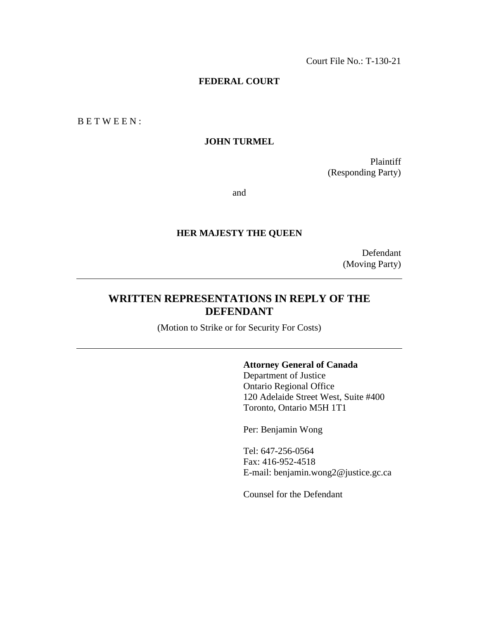Court File No.: T-130-21

### **FEDERAL COURT**

B E T W E E N :

# **JOHN TURMEL**

Plaintiff (Responding Party)

and

### **HER MAJESTY THE QUEEN**

Defendant (Moving Party)

# **WRITTEN REPRESENTATIONS IN REPLY OF THE DEFENDANT**

(Motion to Strike or for Security For Costs)

## **Attorney General of Canada**

Department of Justice Ontario Regional Office 120 Adelaide Street West, Suite #400 Toronto, Ontario M5H 1T1

Per: Benjamin Wong

Tel: 647-256-0564 Fax: 416-952-4518 E-mail: benjamin.wong2@justice.gc.ca

Counsel for the Defendant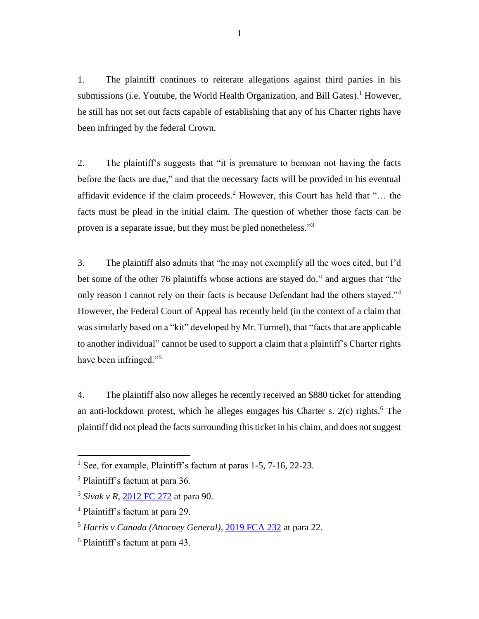1. The plaintiff continues to reiterate allegations against third parties in his submissions (i.e. Youtube, the World Health Organization, and Bill Gates). <sup>1</sup> However, he still has not set out facts capable of establishing that any of his Charter rights have been infringed by the federal Crown.

2. The plaintiff's suggests that "it is premature to bemoan not having the facts before the facts are due," and that the necessary facts will be provided in his eventual affidavit evidence if the claim proceeds. <sup>2</sup> However, this Court has held that "… the facts must be plead in the initial claim. The question of whether those facts can be proven is a separate issue, but they must be pled nonetheless."<sup>3</sup>

3. The plaintiff also admits that "he may not exemplify all the woes cited, but I'd bet some of the other 76 plaintiffs whose actions are stayed do," and argues that "the only reason I cannot rely on their facts is because Defendant had the others stayed."<sup>4</sup> However, the Federal Court of Appeal has recently held (in the context of a claim that was similarly based on a "kit" developed by Mr. Turmel), that "facts that are applicable to another individual" cannot be used to support a claim that a plaintiff's Charter rights have been infringed."<sup>5</sup>

4. The plaintiff also now alleges he recently received an \$880 ticket for attending an anti-lockdown protest, which he alleges emgages his Charter s. 2(c) rights. <sup>6</sup> The plaintiff did not plead the facts surrounding this ticket in his claim, and does not suggest

 $\overline{a}$ 

<sup>&</sup>lt;sup>1</sup> See, for example, Plaintiff's factum at paras  $1-5$ ,  $7-16$ ,  $22-23$ .

<sup>&</sup>lt;sup>2</sup> Plaintiff's factum at para 36.

<sup>3</sup> *Sivak v R*, [2012 FC 272](https://canlii.ca/t/fqf05) at para 90.

<sup>4</sup> Plaintiff's factum at para 29.

<sup>5</sup> *Harris v Canada (Attorney General)*, [2019 FCA 232](https://canlii.ca/t/j2hcz) at para 22.

<sup>6</sup> Plaintiff's factum at para 43.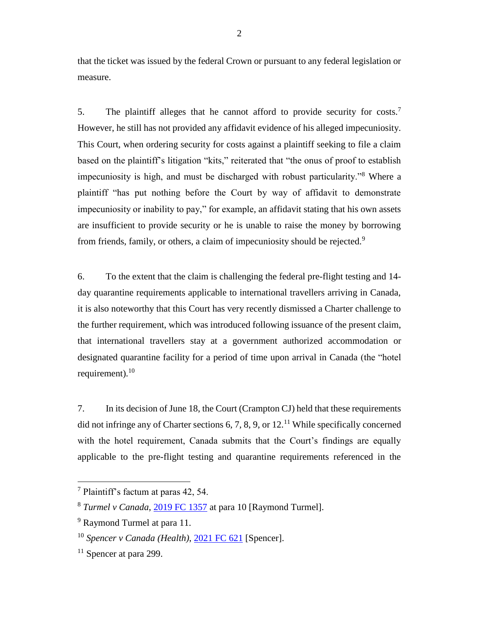that the ticket was issued by the federal Crown or pursuant to any federal legislation or measure.

5. The plaintiff alleges that he cannot afford to provide security for costs.<sup>7</sup> However, he still has not provided any affidavit evidence of his alleged impecuniosity. This Court, when ordering security for costs against a plaintiff seeking to file a claim based on the plaintiff's litigation "kits," reiterated that "the onus of proof to establish impecuniosity is high, and must be discharged with robust particularity."<sup>8</sup> Where a plaintiff "has put nothing before the Court by way of affidavit to demonstrate impecuniosity or inability to pay," for example, an affidavit stating that his own assets are insufficient to provide security or he is unable to raise the money by borrowing from friends, family, or others, a claim of impecuniosity should be rejected.<sup>9</sup>

6. To the extent that the claim is challenging the federal pre-flight testing and 14 day quarantine requirements applicable to international travellers arriving in Canada, it is also noteworthy that this Court has very recently dismissed a Charter challenge to the further requirement, which was introduced following issuance of the present claim, that international travellers stay at a government authorized accommodation or designated quarantine facility for a period of time upon arrival in Canada (the "hotel requirement).<sup>10</sup>

7. In its decision of June 18, the Court (Crampton CJ) held that these requirements did not infringe any of Charter sections 6, 7, 8, 9, or  $12<sup>11</sup>$  While specifically concerned with the hotel requirement, Canada submits that the Court's findings are equally applicable to the pre-flight testing and quarantine requirements referenced in the

 $\overline{a}$ 

<sup>7</sup> Plaintiff's factum at paras 42, 54.

<sup>8</sup> *Turmel v Canada*, [2019 FC 1357](https://canlii.ca/t/j8q7g) at para 10 [Raymond Turmel].

<sup>9</sup> Raymond Turmel at para 11.

<sup>10</sup> *Spencer v Canada (Health)*, [2021 FC 621](https://canlii.ca/t/jghzj) [Spencer].

 $11$  Spencer at para 299.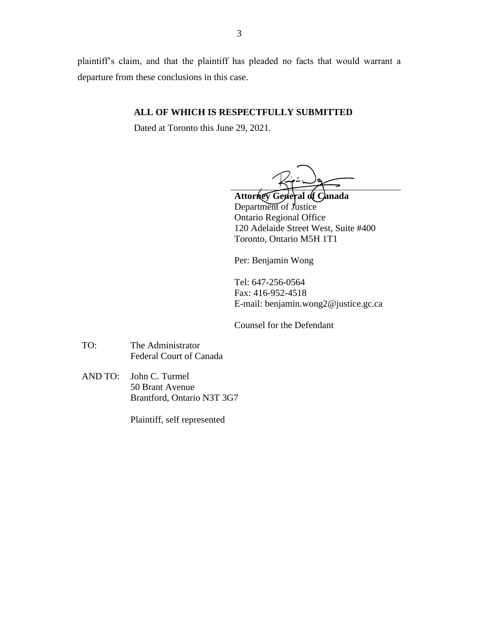plaintiff's claim, and that the plaintiff has pleaded no facts that would warrant a departure from these conclusions in this case.

### **ALL OF WHICH IS RESPECTFULLY SUBMITTED**

Dated at Toronto this June 29, 2021.

**Attorney General of Canada** Department of Justice Ontario Regional Office 120 Adelaide Street West, Suite #400 Toronto, Ontario M5H 1T1

Per: Benjamin Wong

Tel: 647-256-0564 Fax: 416-952-4518 E-mail: benjamin.wong2@justice.gc.ca

Counsel for the Defendant

- TO: The Administrator Federal Court of Canada
- AND TO: John C. Turmel 50 Brant Avenue Brantford, Ontario N3T 3G7

Plaintiff, self represented